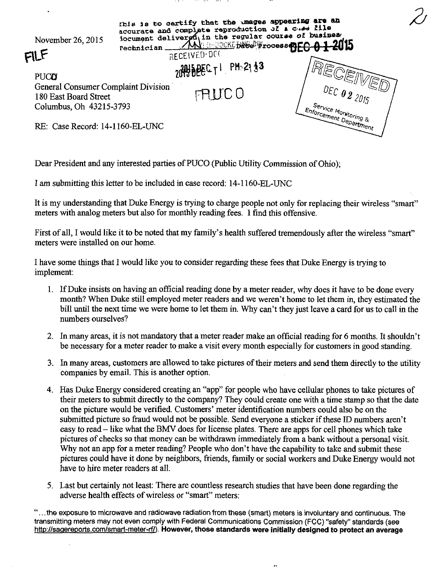

Dear President and any interested parties of PUCO (Public Utility Commission of Ohio);

I am submitting this letter to be included in case record: 14-1160-EL-UNC

It is my understanding that Duke Energy is trying to charge people not only for replacing their wireless "smart" meters with analog meters but also for monthly reading fees. I find this offensive.

First of all, I would like it to be noted that my family's health suffered tremendously after the wireless "smart" meters were installed on our home.

I have some things that I would like you to consider regarding these fees that Duke Energy is trying to implement:

- 1. If Duke insists on having an official reading done by a meter reader, why does it have to be done every month? When Duke still employed meter readers and we weren't home to let them in, they estimated the bill until the next time we were home to let them in. Why can't they just leave a card for us to call in the numbers ourselves?
- 2. In many areas, it is not mandatory that a meter reader make an official reading for 6 months. It shouldn't be necessary for a meter reader to make a visit every month especially for customers in good standing.
- 3. In many areas, customers are allowed to take pictures of their meters and send them directly to the utility companies by email. This is another option.
- 4. Has Duke Energy considered creating an "app" for people who have cellular phones to take pictures of their meters to submit directly to the company? They could create one with a time stamp so that the date on the picture would be verified. Customers' meter identification numbers could also be on the submitted picture so fraud would not be possible. Send everyone a sticker if these ID numbers aren't easy to read – like what the BMV does for license plates. There are apps for cell phones which take pictures of checks so that money can be withdrawn immediately from a bank without a personal visit. Why not an app for a meter reading? People who don't have the capability to take and submit these pictures could have it done by neighbors, friends, family or social workers and Duke Energy would not have to hire meter readers at all.
- 5. Last but certainly not least: There are countless research studies that have been done regarding the adverse health effects of wireless or "smart" meters:

"... the exposure to microwave and radiowave radiation from these (smart) meters is involuntary and continuous. The transmitting meters may not even comply with Federal Communications Commission (FCC) "safety" standards (see http://sagereports.com/smart-meter-rf/). However, those standards were initially designed to protect an average